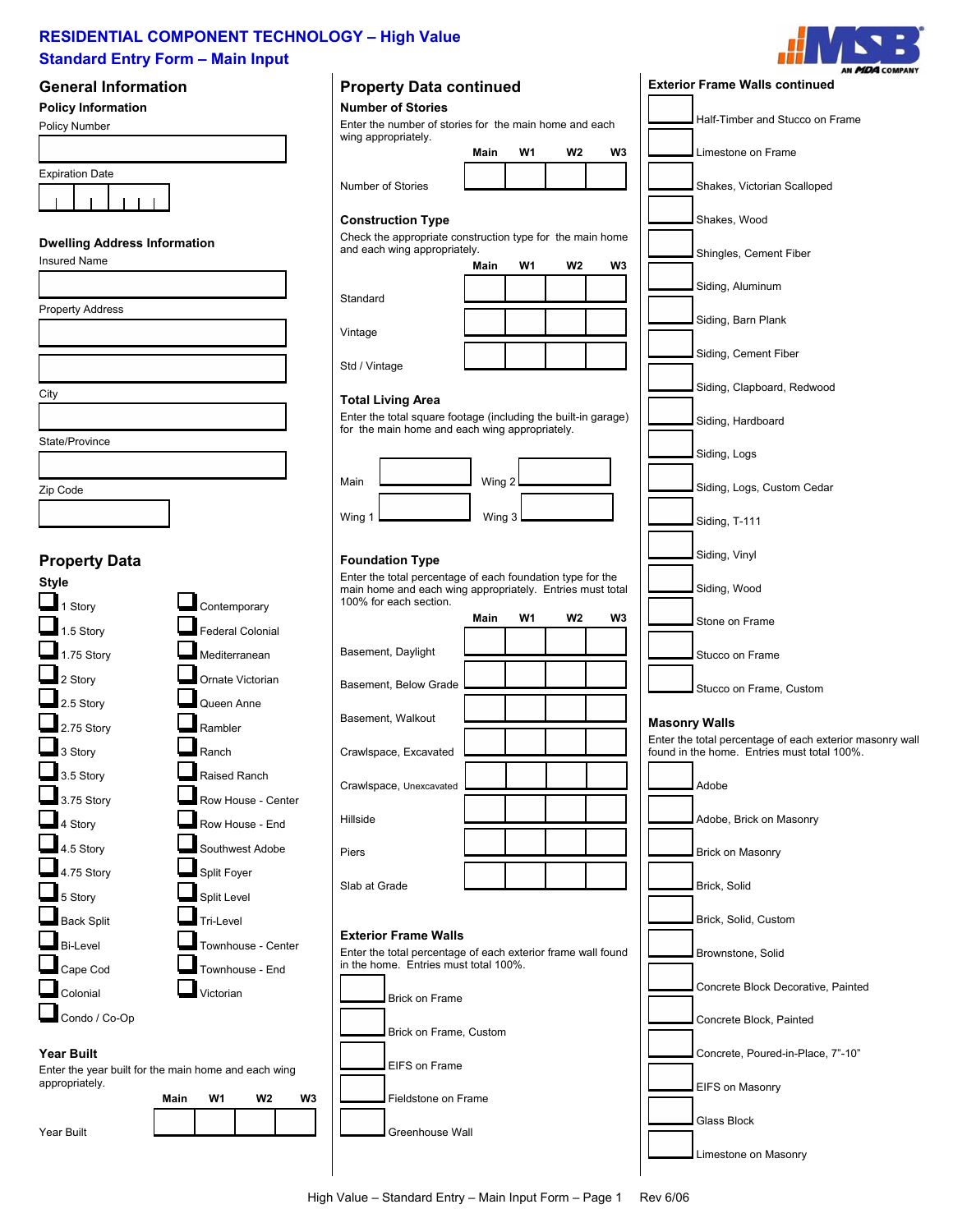

EIFS on Masonry

Limestone on Masonry

Glass Block

| <b>Standard Entry Form - Main Input</b><br><b>General Information</b> |                            | <b>Property Data continued</b>                                                                        |        |    |                |    | AN MDA COMPANY<br><b>Exterior Frame Walls continued</b>                                                 |  |
|-----------------------------------------------------------------------|----------------------------|-------------------------------------------------------------------------------------------------------|--------|----|----------------|----|---------------------------------------------------------------------------------------------------------|--|
| <b>Policy Information</b>                                             |                            | <b>Number of Stories</b>                                                                              |        |    |                |    |                                                                                                         |  |
| Policy Number                                                         |                            | Enter the number of stories for the main home and each<br>wing appropriately.                         |        |    |                |    | Half-Timber and Stucco on Frame                                                                         |  |
|                                                                       |                            |                                                                                                       | Main   | W1 | W <sub>2</sub> | W3 | Limestone on Frame                                                                                      |  |
| <b>Expiration Date</b>                                                |                            |                                                                                                       |        |    |                |    |                                                                                                         |  |
|                                                                       |                            | <b>Number of Stories</b>                                                                              |        |    |                |    | Shakes, Victorian Scalloped                                                                             |  |
|                                                                       |                            | <b>Construction Type</b>                                                                              |        |    |                |    | Shakes, Wood                                                                                            |  |
| <b>Dwelling Address Information</b>                                   |                            | Check the appropriate construction type for the main home<br>and each wing appropriately.             |        |    |                |    |                                                                                                         |  |
| <b>Insured Name</b>                                                   |                            |                                                                                                       | Main   | W1 | W <sub>2</sub> | W3 | Shingles, Cement Fiber                                                                                  |  |
|                                                                       |                            |                                                                                                       |        |    |                |    | Siding, Aluminum                                                                                        |  |
| <b>Property Address</b>                                               |                            | Standard                                                                                              |        |    |                |    |                                                                                                         |  |
|                                                                       |                            | Vintage                                                                                               |        |    |                |    | Siding, Barn Plank                                                                                      |  |
|                                                                       |                            | Std / Vintage                                                                                         |        |    |                |    | Siding, Cement Fiber                                                                                    |  |
| City                                                                  |                            |                                                                                                       |        |    |                |    | Siding, Clapboard, Redwood                                                                              |  |
|                                                                       |                            | <b>Total Living Area</b><br>Enter the total square footage (including the built-in garage)            |        |    |                |    | Siding, Hardboard                                                                                       |  |
| State/Province                                                        |                            | for the main home and each wing appropriately.                                                        |        |    |                |    |                                                                                                         |  |
|                                                                       |                            |                                                                                                       |        |    |                |    | Siding, Logs                                                                                            |  |
| Zip Code                                                              |                            | Main                                                                                                  | Wing 2 |    |                |    | Siding, Logs, Custom Cedar                                                                              |  |
|                                                                       |                            | Wing 1                                                                                                | Wing 3 |    |                |    | Siding, T-111                                                                                           |  |
|                                                                       |                            | <b>Foundation Type</b>                                                                                |        |    |                |    | Siding, Vinyl                                                                                           |  |
| <b>Property Data</b><br><b>Style</b>                                  |                            | Enter the total percentage of each foundation type for the                                            |        |    |                |    |                                                                                                         |  |
| 1 Story                                                               | Contemporary               | main home and each wing appropriately. Entries must total<br>100% for each section.                   |        |    |                |    | Siding, Wood                                                                                            |  |
| 1.5 Story                                                             | <b>Federal Colonial</b>    |                                                                                                       | Main   | W1 | W <sub>2</sub> | W3 | Stone on Frame                                                                                          |  |
| 1.75 Story                                                            | Mediterranean              | Basement, Daylight                                                                                    |        |    |                |    | Stucco on Frame                                                                                         |  |
| $\Box$ <sub>2</sub> Story                                             | Ornate Victorian           | Basement, Below Grade                                                                                 |        |    |                |    |                                                                                                         |  |
| 2.5 Story                                                             | Queen Anne                 |                                                                                                       |        |    |                |    | Stucco on Frame, Custom                                                                                 |  |
| 2.75 Story                                                            | Rambler                    | Basement, Walkout                                                                                     |        |    |                |    | <b>Masonry Walls</b>                                                                                    |  |
| $3$ Story                                                             | Ranch                      | Crawlspace, Excavated                                                                                 |        |    |                |    | Enter the total percentage of each exterior masonry wall<br>found in the home. Entries must total 100%. |  |
| 3.5 Story                                                             | Raised Ranch               | Crawlspace, Unexcavated                                                                               |        |    |                |    | Adobe                                                                                                   |  |
| 3.75 Story                                                            | Row House - Center         |                                                                                                       |        |    |                |    |                                                                                                         |  |
| 4 Story                                                               | Row House - End            | Hillside                                                                                              |        |    |                |    | Adobe, Brick on Masonry                                                                                 |  |
| 4.5 Story                                                             | Southwest Adobe            | Piers                                                                                                 |        |    |                |    | <b>Brick on Masonry</b>                                                                                 |  |
| 4.75 Story<br>5 Story                                                 | Split Foyer<br>Split Level | Slab at Grade                                                                                         |        |    |                |    | Brick, Solid                                                                                            |  |
| <b>Back Split</b>                                                     | Tri-Level                  |                                                                                                       |        |    |                |    | Brick, Solid, Custom                                                                                    |  |
| <b>Bi-Level</b>                                                       | Townhouse - Center         | <b>Exterior Frame Walls</b>                                                                           |        |    |                |    |                                                                                                         |  |
| Cape Cod                                                              | Townhouse - End            | Enter the total percentage of each exterior frame wall found<br>in the home. Entries must total 100%. |        |    |                |    | Brownstone, Solid                                                                                       |  |
| Colonial                                                              | Victorian                  | <b>Brick on Frame</b>                                                                                 |        |    |                |    | Concrete Block Decorative, Painted                                                                      |  |
| Condo / Co-Op                                                         |                            |                                                                                                       |        |    |                |    | Concrete Block, Painted                                                                                 |  |
| <b>Year Built</b>                                                     |                            | Brick on Frame, Custom                                                                                |        |    |                |    | Concrete, Poured-in-Place, 7"-10"                                                                       |  |
| Enter the year built for the main home and each wing                  |                            | EIFS on Frame                                                                                         |        |    |                |    |                                                                                                         |  |
| appropriately.                                                        |                            |                                                                                                       |        |    |                |    | FIFS on Masonry                                                                                         |  |



Fieldstone on Frame

Greenhouse Wall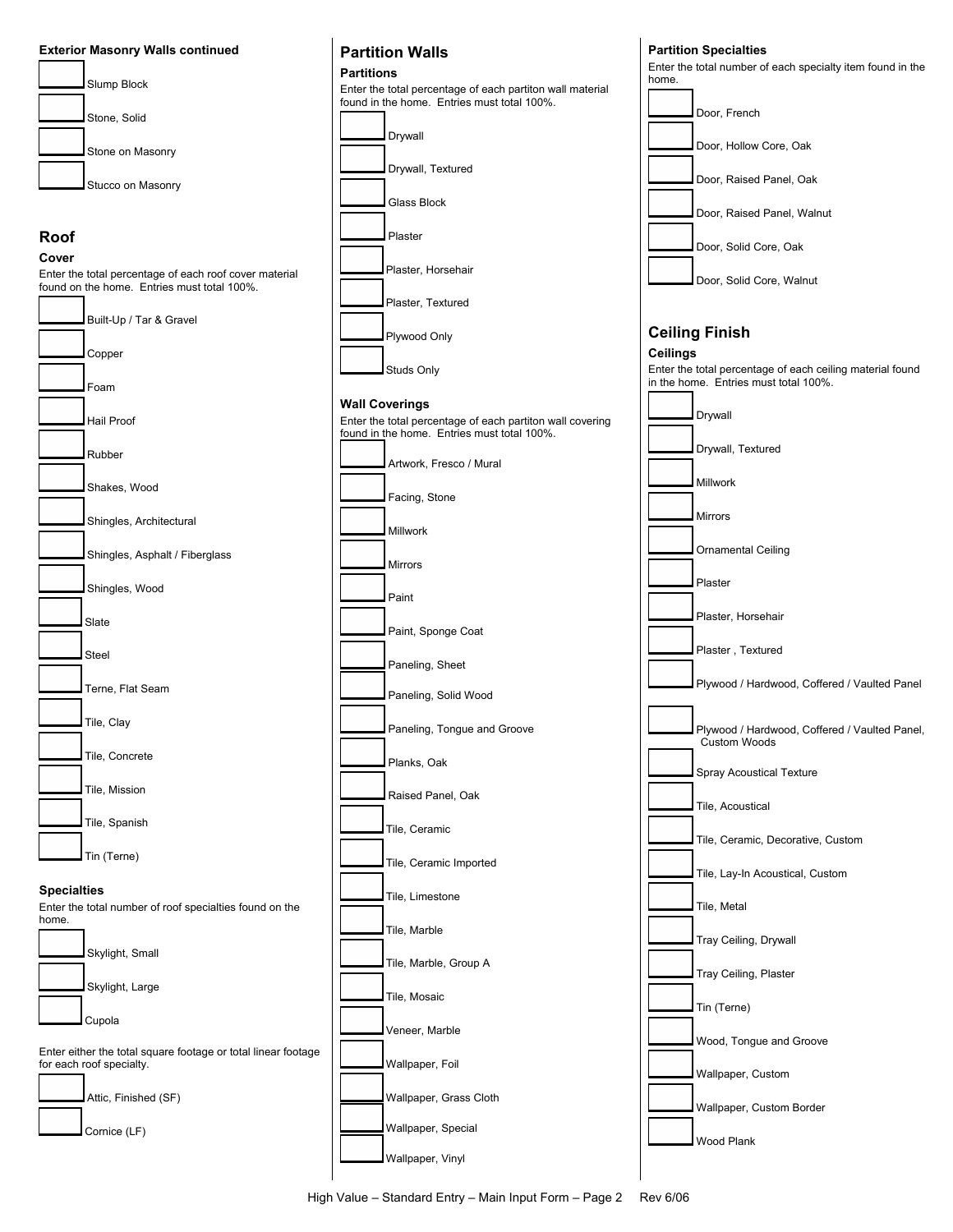



### **Specialties**

Enter the total number of roof specialties found on the home.



Enter either the total square footage or total linear footage for each roof specialty.



Studs Only

## **Wall Coverings**

Enter the total percentage of each partiton wall covering found in the home. Entries must total 100%. Artwork, Fresco / Mural Facing, Stone

Millwork

Mirrors

Paint

Paint, Sponge Coat

Paneling, Sheet

Paneling, Solid Wood

 Paneling, Tongue and Groove Planks, Oak

Raised Panel, Oak

Tile, Ceramic

Tile, Ceramic Imported

Tile, Limestone

 Tile, Marble Tile, Marble, Group A

Veneer, Marble

Wallpaper, Foil

Wallpaper, Grass Cloth

 Wallpaper, Special Wallpaper, Vinyl

Tile, Mosaic



Wood Plank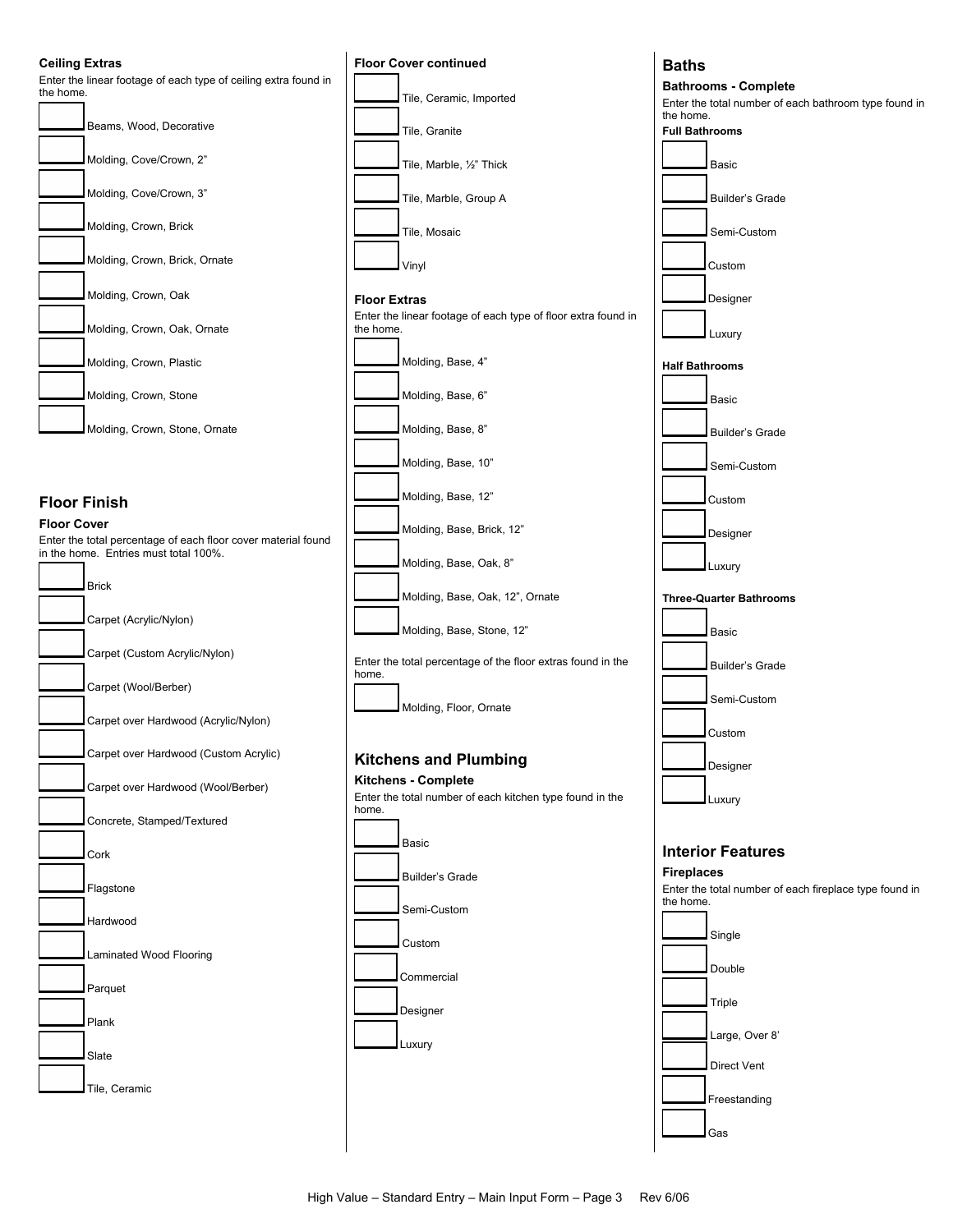#### **Ceiling Extras**



## **Floor Finish**

#### **Floor Cover**

Enter the total percentage of each floor cover material found in the home. Entries must total 100%.

| <b>Brick</b>                          |
|---------------------------------------|
| Carpet (Acrylic/Nylon)                |
| Carpet (Custom Acrylic/Nylon)         |
| Carpet (Wool/Berber)                  |
| Carpet over Hardwood (Acrylic/Nylon)  |
| Carpet over Hardwood (Custom Acrylic) |
| Carpet over Hardwood (Wool/Berber)    |
| Concrete, Stamped/Textured            |
| Cork                                  |
| Flagstone                             |
| Hardwood                              |
| Laminated Wood Flooring               |
| Parquet                               |
| Plank                                 |
| Slate                                 |
| Tile, Ceramic                         |



#### **Baths**

**Bathrooms - Complete** 

Enter the total number of each bathroom type found in the home.



**Fireplaces**  Enter the total number of each fireplace type found in

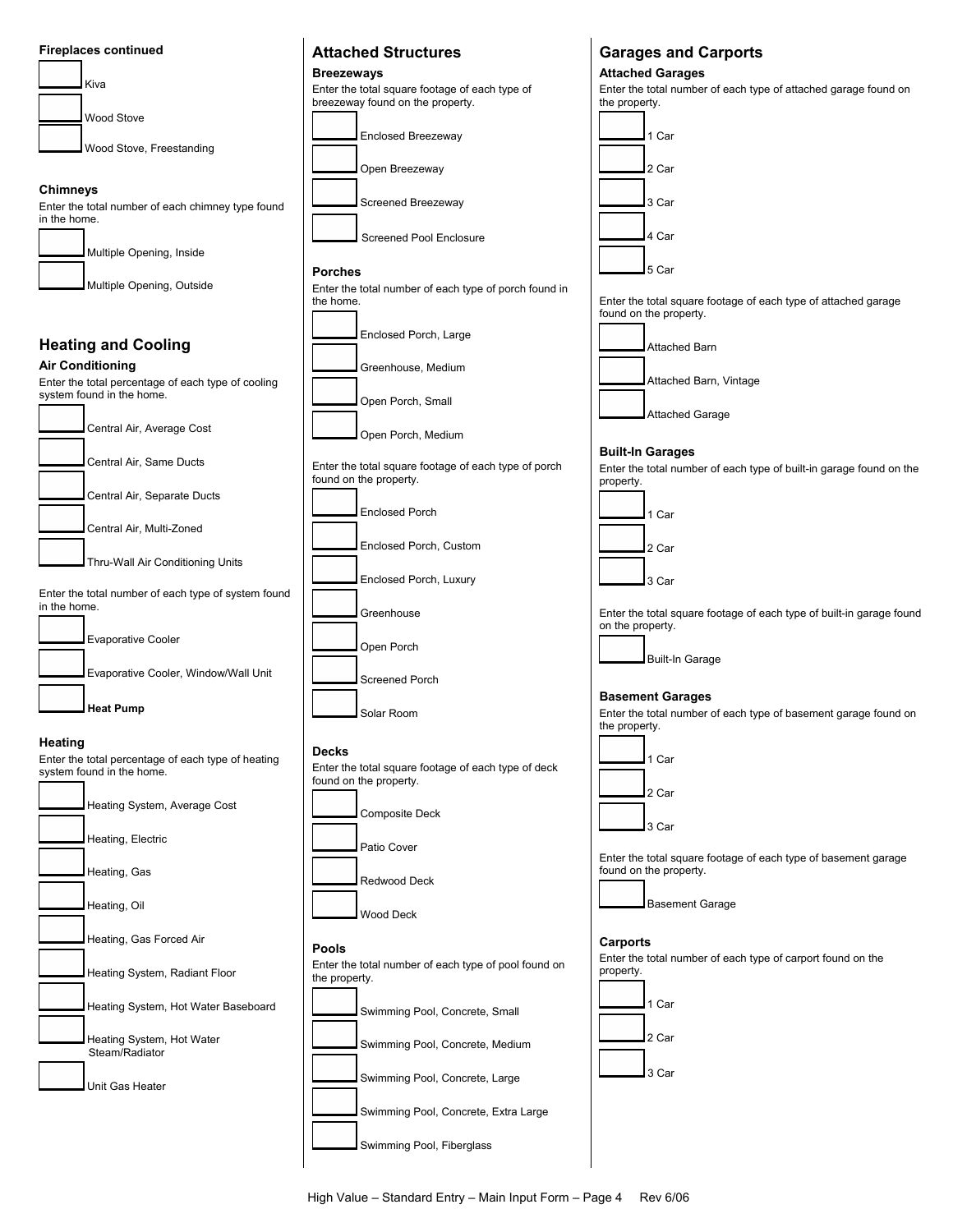